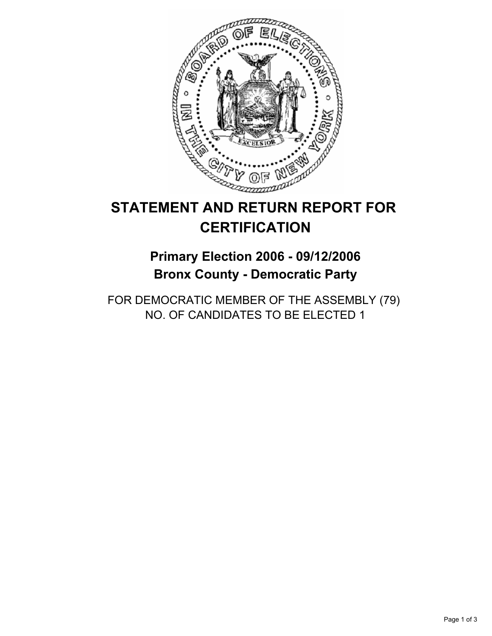

# **STATEMENT AND RETURN REPORT FOR CERTIFICATION**

## **Primary Election 2006 - 09/12/2006 Bronx County - Democratic Party**

FOR DEMOCRATIC MEMBER OF THE ASSEMBLY (79) NO. OF CANDIDATES TO BE ELECTED 1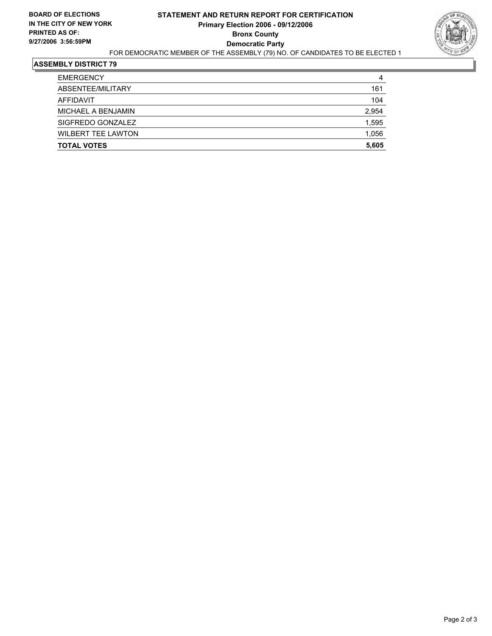

### **ASSEMBLY DISTRICT 79**

| <b>EMERGENCY</b>          | 4     |
|---------------------------|-------|
| ABSENTEE/MILITARY         | 161   |
| AFFIDAVIT                 | 104   |
| MICHAEL A BENJAMIN        | 2,954 |
| SIGFREDO GONZALEZ         | 1,595 |
| <b>WILBERT TEE LAWTON</b> | 1,056 |
| <b>TOTAL VOTES</b>        | 5,605 |